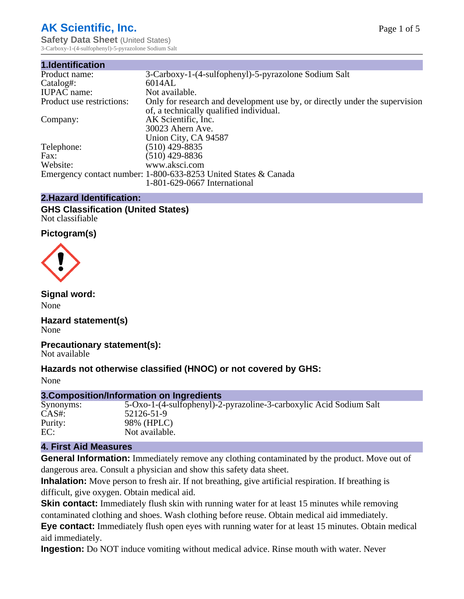# **AK Scientific, Inc.**

**Safety Data Sheet** (United States) 3-Carboxy-1-(4-sulfophenyl)-5-pyrazolone Sodium Salt

| 1.Identification          |                                                                                                                        |
|---------------------------|------------------------------------------------------------------------------------------------------------------------|
| Product name:             | 3-Carboxy-1-(4-sulfophenyl)-5-pyrazolone Sodium Salt                                                                   |
| Catalog#:                 | 6014AL                                                                                                                 |
| <b>IUPAC</b> name:        | Not available.                                                                                                         |
| Product use restrictions: | Only for research and development use by, or directly under the supervision<br>of, a technically qualified individual. |
| Company:                  | AK Scientific, Inc.                                                                                                    |
|                           | 30023 Ahern Ave.                                                                                                       |
|                           | Union City, CA 94587                                                                                                   |
| Telephone:                | $(510)$ 429-8835                                                                                                       |
| Fax:                      | $(510)$ 429-8836                                                                                                       |
| Website:                  | www.aksci.com                                                                                                          |
|                           | Emergency contact number: 1-800-633-8253 United States & Canada                                                        |
|                           | 1-801-629-0667 International                                                                                           |

## **2.Hazard Identification:**

#### **GHS Classification (United States)** Not classifiable

# **Pictogram(s)**



**Signal word:**

None

# **Hazard statement(s)**

None

**Precautionary statement(s):** Not available

# **Hazards not otherwise classified (HNOC) or not covered by GHS:**

None

# **3.Composition/Information on Ingredients**

| Synonyms:<br>5-Oxo-1-(4-sulfophenyl)-2-pyrazoline-3-carboxylic Acid Sodium Salt |  |
|---------------------------------------------------------------------------------|--|
| $CAS#$ :<br>52126-51-9                                                          |  |
| Purity:<br>98% (HPLC)                                                           |  |
| EC:<br>Not available.                                                           |  |

# **4. First Aid Measures**

**General Information:** Immediately remove any clothing contaminated by the product. Move out of dangerous area. Consult a physician and show this safety data sheet.

**Inhalation:** Move person to fresh air. If not breathing, give artificial respiration. If breathing is difficult, give oxygen. Obtain medical aid.

**Skin contact:** Immediately flush skin with running water for at least 15 minutes while removing contaminated clothing and shoes. Wash clothing before reuse. Obtain medical aid immediately.

**Eye contact:** Immediately flush open eyes with running water for at least 15 minutes. Obtain medical aid immediately.

**Ingestion:** Do NOT induce vomiting without medical advice. Rinse mouth with water. Never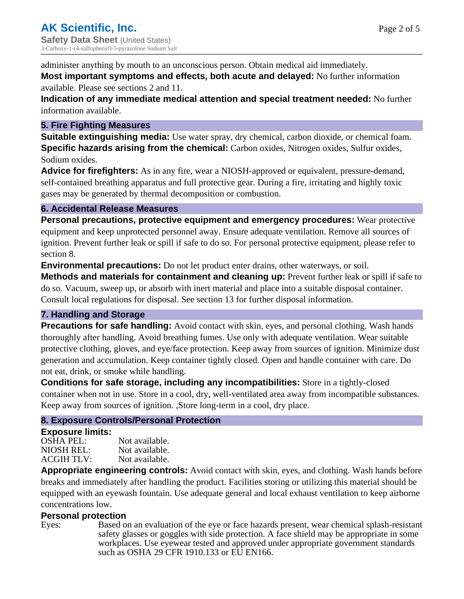administer anything by mouth to an unconscious person. Obtain medical aid immediately.

**Most important symptoms and effects, both acute and delayed:** No further information available. Please see sections 2 and 11.

**Indication of any immediate medical attention and special treatment needed:** No further information available.

## **5. Fire Fighting Measures**

**Suitable extinguishing media:** Use water spray, dry chemical, carbon dioxide, or chemical foam. **Specific hazards arising from the chemical:** Carbon oxides, Nitrogen oxides, Sulfur oxides, Sodium oxides.

**Advice for firefighters:** As in any fire, wear a NIOSH-approved or equivalent, pressure-demand, self-contained breathing apparatus and full protective gear. During a fire, irritating and highly toxic gases may be generated by thermal decomposition or combustion.

## **6. Accidental Release Measures**

**Personal precautions, protective equipment and emergency procedures:** Wear protective equipment and keep unprotected personnel away. Ensure adequate ventilation. Remove all sources of ignition. Prevent further leak or spill if safe to do so. For personal protective equipment, please refer to section 8.

**Environmental precautions:** Do not let product enter drains, other waterways, or soil.

**Methods and materials for containment and cleaning up:** Prevent further leak or spill if safe to do so. Vacuum, sweep up, or absorb with inert material and place into a suitable disposal container. Consult local regulations for disposal. See section 13 for further disposal information.

# **7. Handling and Storage**

**Precautions for safe handling:** Avoid contact with skin, eyes, and personal clothing. Wash hands thoroughly after handling. Avoid breathing fumes. Use only with adequate ventilation. Wear suitable protective clothing, gloves, and eye/face protection. Keep away from sources of ignition. Minimize dust generation and accumulation. Keep container tightly closed. Open and handle container with care. Do not eat, drink, or smoke while handling.

**Conditions for safe storage, including any incompatibilities:** Store in a tightly-closed container when not in use. Store in a cool, dry, well-ventilated area away from incompatible substances. Keep away from sources of ignition. ,Store long-term in a cool, dry place.

# **8. Exposure Controls/Personal Protection**

### **Exposure limits:**

| OSHA PEL:  | Not available. |
|------------|----------------|
| NIOSH REL: | Not available. |
| ACGIH TLV: | Not available. |

**Appropriate engineering controls:** Avoid contact with skin, eyes, and clothing. Wash hands before breaks and immediately after handling the product. Facilities storing or utilizing this material should be equipped with an eyewash fountain. Use adequate general and local exhaust ventilation to keep airborne concentrations low.

# **Personal protection**

Eyes: Based on an evaluation of the eye or face hazards present, wear chemical splash-resistant safety glasses or goggles with side protection. A face shield may be appropriate in some workplaces. Use eyewear tested and approved under appropriate government standards such as OSHA 29 CFR 1910.133 or EU EN166.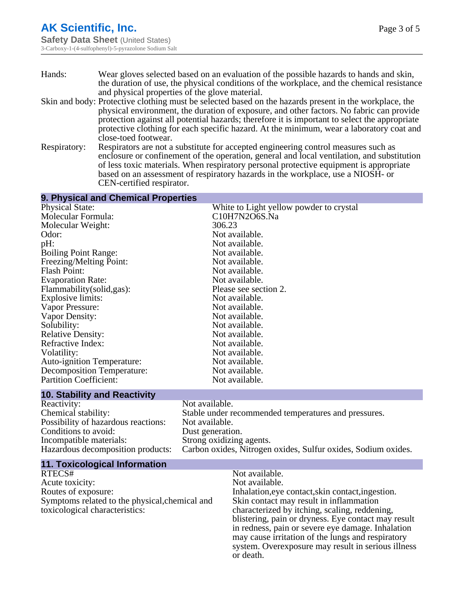- Hands: Wear gloves selected based on an evaluation of the possible hazards to hands and skin, the duration of use, the physical conditions of the workplace, and the chemical resistance and physical properties of the glove material.
- Skin and body: Protective clothing must be selected based on the hazards present in the workplace, the physical environment, the duration of exposure, and other factors. No fabric can provide protection against all potential hazards; therefore it is important to select the appropriate protective clothing for each specific hazard. At the minimum, wear a laboratory coat and close-toed footwear.
- Respiratory: Respirators are not a substitute for accepted engineering control measures such as enclosure or confinement of the operation, general and local ventilation, and substitution of less toxic materials. When respiratory personal protective equipment is appropriate based on an assessment of respiratory hazards in the workplace, use a NIOSH- or CEN-certified respirator.

#### **9. Physical and Chemical Properties**

| <b>Physical State:</b>            | White to Light yellow powder to crystal |
|-----------------------------------|-----------------------------------------|
| Molecular Formula:                | C10H7N2O6S.Na                           |
| Molecular Weight:                 | 306.23                                  |
| Odor:                             | Not available.                          |
| pH:                               | Not available.                          |
| <b>Boiling Point Range:</b>       | Not available.                          |
| Freezing/Melting Point:           | Not available.                          |
| <b>Flash Point:</b>               | Not available.                          |
| <b>Evaporation Rate:</b>          | Not available.                          |
| Flammability(solid,gas):          | Please see section 2.                   |
| Explosive limits:                 | Not available.                          |
| Vapor Pressure:                   | Not available.                          |
| Vapor Density:                    | Not available.                          |
| Solubility:                       | Not available.                          |
| <b>Relative Density:</b>          | Not available.                          |
| Refractive Index:                 | Not available.                          |
| Volatility:                       | Not available.                          |
| <b>Auto-ignition Temperature:</b> | Not available.                          |
| <b>Decomposition Temperature:</b> | Not available.                          |
| <b>Partition Coefficient:</b>     | Not available.                          |
|                                   |                                         |

#### **10. Stability and Reactivity**

| Reactivity:                         |
|-------------------------------------|
| Chemical stability:                 |
| Possibility of hazardous reactions: |
| Conditions to avoid:                |
| Incompatible materials:             |
| Hazardous decomposition products:   |

Not available. Stable under recommended temperatures and pressures. Not available. Dust generation. Strong oxidizing agents. Carbon oxides, Nitrogen oxides, Sulfur oxides, Sodium oxides.

### **11. Toxicological Information**

RTECS# Not available. Acute toxicity: Not available. Routes of exposure: The Inhalation, eye contact, skin contact, ingestion. Symptoms related to the physical,chemical and toxicological characteristics:

Skin contact may result in inflammation characterized by itching, scaling, reddening, blistering, pain or dryness. Eye contact may result in redness, pain or severe eye damage. Inhalation may cause irritation of the lungs and respiratory system. Overexposure may result in serious illness or death.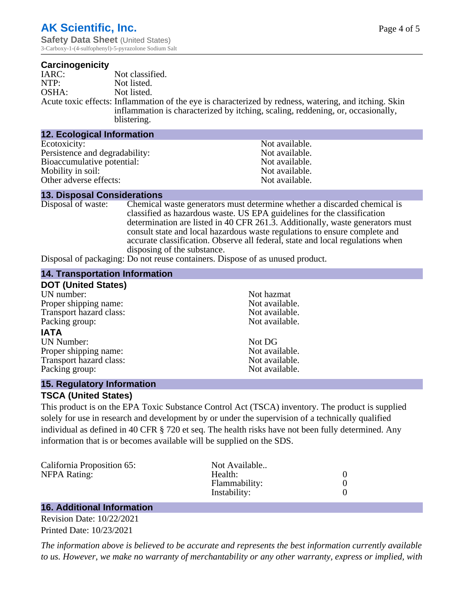3-Carboxy-1-(4-sulfophenyl)-5-pyrazolone Sodium Salt

#### **Carcinogenicity**

| IARC: | Not classified.                                                                                                                                                                                         |
|-------|---------------------------------------------------------------------------------------------------------------------------------------------------------------------------------------------------------|
| NTP:  | Not listed.                                                                                                                                                                                             |
| OSHA: | Not listed.                                                                                                                                                                                             |
|       | Acute toxic effects: Inflammation of the eye is characterized by redness, watering, and itching. Skin<br>inflammation is characterized by itching, scaling, reddening, or, occasionally,<br>blistering. |

| <b>12. Ecological Information</b> |                |
|-----------------------------------|----------------|
| Ecotoxicity:                      | Not available. |
| Persistence and degradability:    | Not available. |
| Bioaccumulative potential:        | Not available. |
| Mobility in soil:                 | Not available. |
| Other adverse effects:            | Not available. |

#### **13. Disposal Considerations**

Disposal of waste: Chemical waste generators must determine whether a discarded chemical is classified as hazardous waste. US EPA guidelines for the classification determination are listed in 40 CFR 261.3. Additionally, waste generators must consult state and local hazardous waste regulations to ensure complete and accurate classification. Observe all federal, state and local regulations when disposing of the substance.

Disposal of packaging: Do not reuse containers. Dispose of as unused product.

### **14. Transportation Information**

| <b>DOT (United States)</b> |                |
|----------------------------|----------------|
| UN number:                 | Not hazmat     |
| Proper shipping name:      | Not available. |
| Transport hazard class:    | Not available. |
| Packing group:             | Not available. |
| <b>IATA</b>                |                |
| <b>UN Number:</b>          | Not DG         |
| Proper shipping name:      | Not available. |
| Transport hazard class:    | Not available. |
| Packing group:             | Not available. |

### **15. Regulatory Information**

### **TSCA (United States)**

This product is on the EPA Toxic Substance Control Act (TSCA) inventory. The product is supplied solely for use in research and development by or under the supervision of a technically qualified individual as defined in 40 CFR § 720 et seq. The health risks have not been fully determined. Any information that is or becomes available will be supplied on the SDS.

| Not Available<br>Health:<br>Flammability:<br>Instability: |
|-----------------------------------------------------------|

### **16. Additional Information**

Revision Date: 10/22/2021 Printed Date: 10/23/2021

*The information above is believed to be accurate and represents the best information currently available to us. However, we make no warranty of merchantability or any other warranty, express or implied, with*